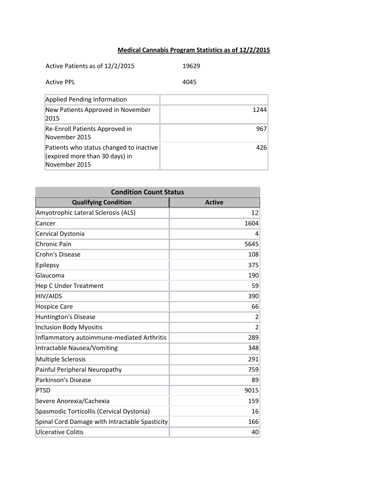## **Medical Cannabis Program Statistics as of 12/2/2015**

| Active Patients as of 12/2/2015 | 19629 |
|---------------------------------|-------|
|                                 |       |

Active PPL 4045

| Applied Pending Information                                                                |      |
|--------------------------------------------------------------------------------------------|------|
| New Patients Approved in November<br>2015                                                  | 1244 |
| Re-Enroll Patients Approved in<br>November 2015                                            | 967  |
| Patients who status changed to inactive<br>(expired more than 30 days) in<br>November 2015 | 426  |

| <b>Condition Count Status</b>                  |                |  |
|------------------------------------------------|----------------|--|
| <b>Qualifying Condition</b>                    | <b>Active</b>  |  |
| Amyotrophic Lateral Sclerosis (ALS)            | 12             |  |
| Cancer                                         | 1604           |  |
| Cervical Dystonia                              | 4              |  |
| <b>Chronic Pain</b>                            | 5645           |  |
| Crohn's Disease                                | 108            |  |
| Epilepsy                                       | 375            |  |
| Glaucoma                                       | 190            |  |
| <b>Hep C Under Treatment</b>                   | 59             |  |
| <b>HIV/AIDS</b>                                | 390            |  |
| <b>Hospice Care</b>                            | 66             |  |
| <b>Huntington's Disease</b>                    | 2              |  |
| <b>Inclusion Body Myositis</b>                 | $\overline{2}$ |  |
| Inflammatory autoimmune-mediated Arthritis     | 289            |  |
| Intractable Nausea/Vomiting                    | 348            |  |
| <b>Multiple Sclerosis</b>                      | 291            |  |
| Painful Peripheral Neuropathy                  | 759            |  |
| <b>Parkinson's Disease</b>                     | 89             |  |
| <b>PTSD</b>                                    | 9015           |  |
| Severe Anorexia/Cachexia                       | 159            |  |
| Spasmodic Torticollis (Cervical Dystonia)      | 16             |  |
| Spinal Cord Damage with Intractable Spasticity | 166            |  |
| <b>Ulcerative Colitis</b>                      | 40             |  |